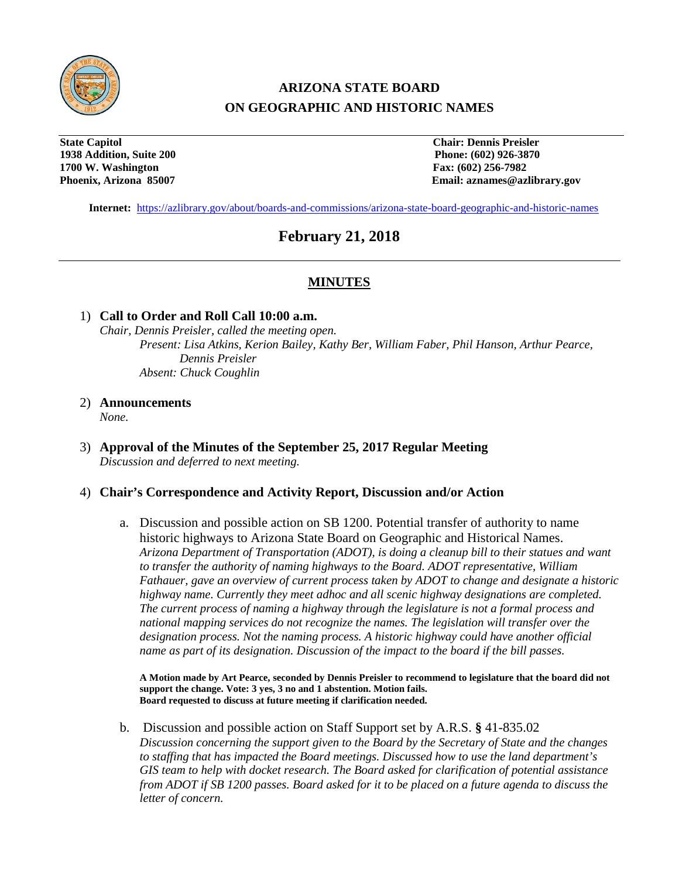

# **ARIZONA STATE BOARD ON GEOGRAPHIC AND HISTORIC NAMES**

**State Capitol Chair: Dennis Preisler 1938 Addition, Suite 200 Phone: (602) 926-3870 1700 W. Washington Fax: (602) 256-7982**

**Phoenix, Arizona 85007 Email: aznames@azlibrary.gov**

**Internet:** <https://azlibrary.gov/about/boards-and-commissions/arizona-state-board-geographic-and-historic-names>

## **February 21, 2018**

## **MINUTES**

#### 1) **Call to Order and Roll Call 10:00 a.m.**

*Chair, Dennis Preisler, called the meeting open. Present: Lisa Atkins, Kerion Bailey, Kathy Ber, William Faber, Phil Hanson, Arthur Pearce, Dennis Preisler Absent: Chuck Coughlin*

2) **Announcements**

*None.*

3) **Approval of the Minutes of the September 25, 2017 Regular Meeting** *Discussion and deferred to next meeting.*

### 4) **Chair's Correspondence and Activity Report, Discussion and/or Action**

a. Discussion and possible action on SB 1200. Potential transfer of authority to name historic highways to Arizona State Board on Geographic and Historical Names. *Arizona Department of Transportation (ADOT), is doing a cleanup bill to their statues and want to transfer the authority of naming highways to the Board. ADOT representative, William Fathauer, gave an overview of current process taken by ADOT to change and designate a historic highway name. Currently they meet adhoc and all scenic highway designations are completed. The current process of naming a highway through the legislature is not a formal process and national mapping services do not recognize the names. The legislation will transfer over the designation process. Not the naming process. A historic highway could have another official name as part of its designation. Discussion of the impact to the board if the bill passes.*

**A Motion made by Art Pearce, seconded by Dennis Preisler to recommend to legislature that the board did not support the change. Vote: 3 yes, 3 no and 1 abstention. Motion fails. Board requested to discuss at future meeting if clarification needed.**

b. Discussion and possible action on Staff Support set by A.R.S. **§** 41-835.02 *Discussion concerning the support given to the Board by the Secretary of State and the changes to staffing that has impacted the Board meetings. Discussed how to use the land department's GIS team to help with docket research. The Board asked for clarification of potential assistance from ADOT if SB 1200 passes. Board asked for it to be placed on a future agenda to discuss the letter of concern.*